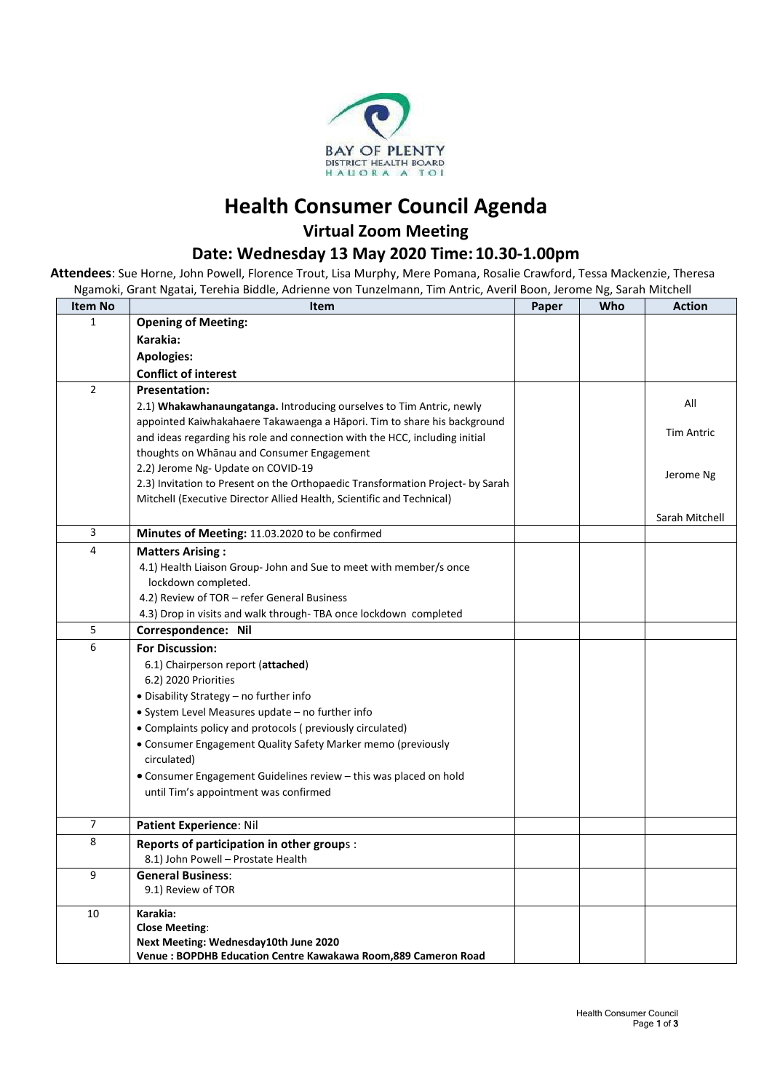

## **Health Consumer Council Agenda Virtual Zoom Meeting**

### **Date: Wednesday 13 May 2020 Time:10.30-1.00pm**

**Attendees**: Sue Horne, John Powell, Florence Trout, Lisa Murphy, Mere Pomana, Rosalie Crawford, Tessa Mackenzie, Theresa Ngamoki, Grant Ngatai, Terehia Biddle, Adrienne von Tunzelmann, Tim Antric, Averil Boon, Jerome Ng, Sarah Mitchell

| <b>Item No</b> | <b>Item</b>                                                                    | Paper | Who | <b>Action</b>     |
|----------------|--------------------------------------------------------------------------------|-------|-----|-------------------|
| 1              | <b>Opening of Meeting:</b>                                                     |       |     |                   |
|                | Karakia:                                                                       |       |     |                   |
|                | <b>Apologies:</b>                                                              |       |     |                   |
|                | <b>Conflict of interest</b>                                                    |       |     |                   |
| $\overline{2}$ | <b>Presentation:</b>                                                           |       |     |                   |
|                | 2.1) Whakawhanaungatanga. Introducing ourselves to Tim Antric, newly           |       |     | All               |
|                | appointed Kaiwhakahaere Takawaenga a Hāpori. Tim to share his background       |       |     |                   |
|                | and ideas regarding his role and connection with the HCC, including initial    |       |     | <b>Tim Antric</b> |
|                | thoughts on Whanau and Consumer Engagement                                     |       |     |                   |
|                | 2.2) Jerome Ng- Update on COVID-19                                             |       |     | Jerome Ng         |
|                | 2.3) Invitation to Present on the Orthopaedic Transformation Project- by Sarah |       |     |                   |
|                | Mitchell (Executive Director Allied Health, Scientific and Technical)          |       |     |                   |
|                |                                                                                |       |     | Sarah Mitchell    |
| 3              | Minutes of Meeting: 11.03.2020 to be confirmed                                 |       |     |                   |
| $\overline{4}$ | <b>Matters Arising:</b>                                                        |       |     |                   |
|                | 4.1) Health Liaison Group- John and Sue to meet with member/s once             |       |     |                   |
|                | lockdown completed.                                                            |       |     |                   |
|                | 4.2) Review of TOR - refer General Business                                    |       |     |                   |
|                | 4.3) Drop in visits and walk through- TBA once lockdown completed              |       |     |                   |
| 5              | Correspondence: Nil                                                            |       |     |                   |
| 6              | <b>For Discussion:</b>                                                         |       |     |                   |
|                | 6.1) Chairperson report (attached)                                             |       |     |                   |
|                | 6.2) 2020 Priorities                                                           |       |     |                   |
|                | • Disability Strategy - no further info                                        |       |     |                   |
|                | • System Level Measures update – no further info                               |       |     |                   |
|                | • Complaints policy and protocols (previously circulated)                      |       |     |                   |
|                | • Consumer Engagement Quality Safety Marker memo (previously                   |       |     |                   |
|                | circulated)                                                                    |       |     |                   |
|                | • Consumer Engagement Guidelines review - this was placed on hold              |       |     |                   |
|                | until Tim's appointment was confirmed                                          |       |     |                   |
|                |                                                                                |       |     |                   |
| $\overline{7}$ | Patient Experience: Nil                                                        |       |     |                   |
| 8              | Reports of participation in other groups :                                     |       |     |                   |
|                | 8.1) John Powell - Prostate Health                                             |       |     |                   |
| 9              | <b>General Business:</b>                                                       |       |     |                   |
|                | 9.1) Review of TOR                                                             |       |     |                   |
| 10             | Karakia:                                                                       |       |     |                   |
|                | <b>Close Meeting:</b>                                                          |       |     |                   |
|                | Next Meeting: Wednesday10th June 2020                                          |       |     |                   |
|                | Venue: BOPDHB Education Centre Kawakawa Room, 889 Cameron Road                 |       |     |                   |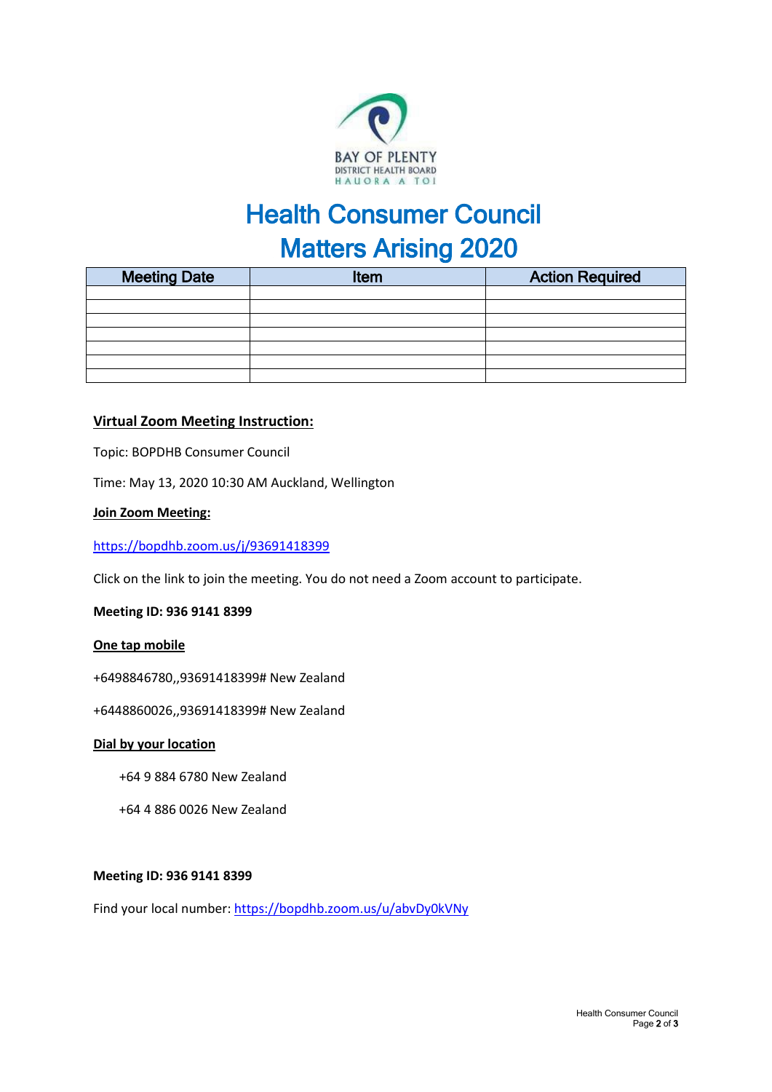

# Health Consumer Council **Matters Arising 2020**

| <b>Meeting Date</b> | Item | <b>Action Required</b> |  |  |
|---------------------|------|------------------------|--|--|
|                     |      |                        |  |  |
|                     |      |                        |  |  |
|                     |      |                        |  |  |
|                     |      |                        |  |  |
|                     |      |                        |  |  |
|                     |      |                        |  |  |
|                     |      |                        |  |  |

#### **Virtual Zoom Meeting Instruction:**

Topic: BOPDHB Consumer Council

Time: May 13, 2020 10:30 AM Auckland, Wellington

#### **Join Zoom Meeting:**

<https://bopdhb.zoom.us/j/93691418399>

Click on the link to join the meeting. You do not need a Zoom account to participate.

#### **Meeting ID: 936 9141 8399**

#### **One tap mobile**

+6498846780,,93691418399# New Zealand

+6448860026,,93691418399# New Zealand

#### **Dial by your location**

- +64 9 884 6780 New Zealand
- +64 4 886 0026 New Zealand

#### **Meeting ID: 936 9141 8399**

Find your local number[: https://bopdhb.zoom.us/u/abvDy0kVNy](https://bopdhb.zoom.us/u/abvDy0kVNy)